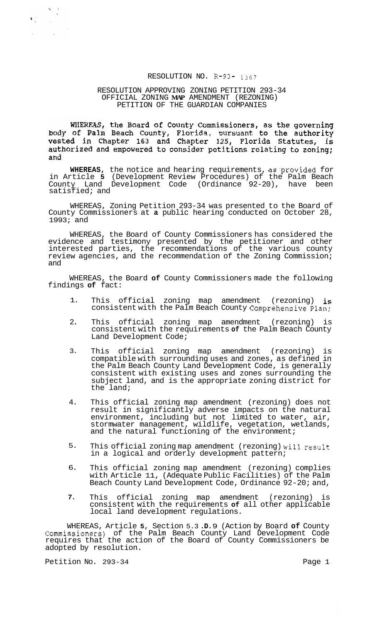# RESOLUTION NO. R-93- <sup>1367</sup>

## RESOLUTION APPROVING ZONING PETITION 293-34 PETITION OF THE GUARDIAN COMPANIES OFFICIAL ZONING **MAP** AMENDMENT (REZONING)

WHEREAS, the Board of County Commissioners, as the governing<br>body of Palm Beach County, Florida, pursuant to the authority<br>vested in Chapter 163 and Chapter 125, Florida Statutes, is authorized and empowered to consider petitions relating to zoning; and

**WHEREAS,** the notice and hearing requirements, as provided for in Article **5** (Development Review Procedures) of the Palm Beach County Land Development Code (Ordinance 92-20), have been satisfied; and

WHEREAS, Zoning Petition 293-34 was presented to the Board of County Commissioners at **a** public hearing conducted on October 28, 1993; and

WHEREAS, the Board of County Commissioners has considered the evidence and testimony presented by the petitioner and other interested parties, the recommendations of the various county review agencies, and the recommendation of the Zoning Commission; and

WHEREAS, the Board **of** County Commissioners made the following findings **of** fact:

- 1. This official zoning map amendment (rezoning) is consistent with the Palm Beach County Comprehensive Plan;
- $2.5$ This official zoning map amendment (rezoning) is consistent with the requirements **of** the Palm Beach County Land Development Code;
- 3. This official zoning map amendment (rezoning) is compatible with surrounding uses and zones, as defined in the Palm Beach County Land Development Code, is generally consistent with existing uses and zones surrounding the subject land, and is the appropriate zoning district for the land;
- 4. This official zoning map amendment (rezoning) does not result in significantly adverse impacts on the natural environment, including but not limited to water, air, stormwater management, wildlife, vegetation, wetlands, and the natural functioning of the environment;
- 5. This official zoning map amendment (rezoning) will result in a logical and orderly development pattern;
- 6. This official zoning map amendment (rezoning) complies with Article 11, (Adequate Public Facilities) of the Palm Beach County Land Development Code, Ordinance 92-20; and,
- **7.**  This official zoning map amendment (rezoning) consistent with the requirements **of** all other applicable local land development regulations.

WHEREAS, Article **5,** Section 5.3 **.D.** 9 (Action by Board **of** County Commissioners) of the Palm Beach County Land Development Code requires that the action of the Board of County Commissioners be adopted by resolution.

Petition No. 293-34 Page 1

 $\frac{N}{2}$  ,  $\frac{N}{2}$ 

 $\mathbf{V}^{(1)}$  .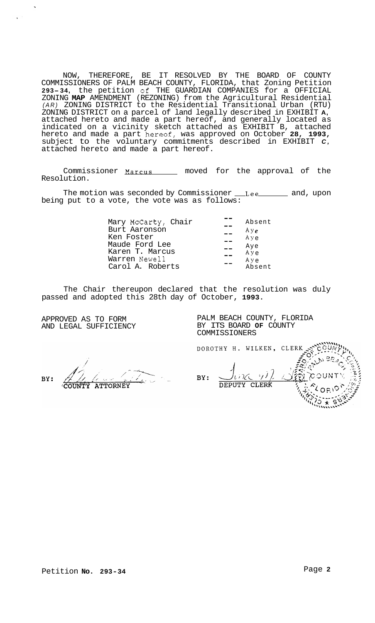NOW, THEREFORE, BE IT RESOLVED BY THE BOARD OF COUNTY COMMISSIONERS OF PALM BEACH COUNTY, FLORIDA, that Zoning Petition **293-34,** the petition of THE GUARDIAN COMPANIES for a OFFICIAL ZONING **MAP** AMENDMENT (REZONING) from the Agricultural Residential *(AR)* ZONING DISTRICT to the Residential Transitional Urban (RTU) ZONING DISTRICT on a parcel of land legally described in EXHIBIT **A,**  attached hereto and made a part hereof, and generally located as indicated on a vicinity sketch attached as EXHIBIT B, attached hereto and made a part h~ereof, was approved on October **28, 1993,**  subject to the voluntary commitments described in EXHIBIT *C,*  attached hereto and made a part hereof.

Commissioner Marcus \_\_\_\_\_ moved for the approval of the Resolution.

The motion was seconded by Commissioner Lee and, upon being put to a vote, the vote was as follows:

| Mary McCarty, Chair<br>Burt Aaronson | Absent<br>Aye |
|--------------------------------------|---------------|
| Ken Foster                           | Aye           |
| Maude Ford Lee                       | Aye           |
| Karen T. Marcus                      | Aye           |
| Warren Newell                        | Aye           |
| Carol A. Roberts                     | Absent        |

The Chair thereupon declared that the resolution was duly passed and adopted this 28th day of October, **1993.** 

APPROVED AS TO FORM AND LEGAL SUFFICIENCY PALM BEACH COUNTY, FLORIDA BY ITS BOARD **OF** COUNTY COMMISSIONERS

DOROTHY H. WILKEN, CLERK

RV:

**ATTORNEY** 

 $\mathcal{G}(L)$ いって BY: DEPUTY CLERK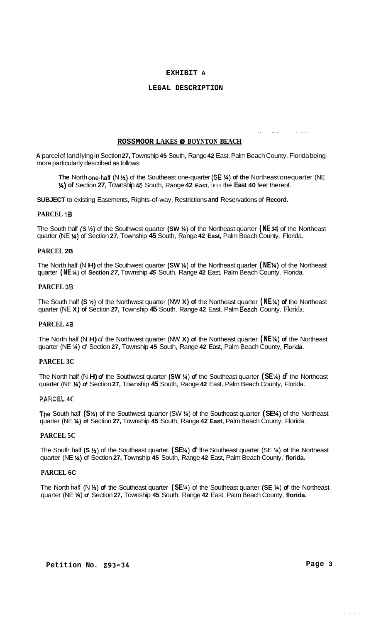## **EXHIBIT A**

### **LEGAL DESCRIPTION**

## **ROSSMOOR LAKES** @ **BOYNTON BEACH**

**A** parcel of land lying in Section **27,** Township **45** South, Range **42** East, Palm Beach County, Florida being more particularly described as follows:

**The** North one-hatf (N **M)** of the Southeast one-quarter **(SE** %) **of the** Northeast onequarter (NE *34)* **of** Section **27,** Township *45* South, Range **42 East,** less the **East 40** feet thereof.

.. -. . . ....

**SUBJECT** to existing Easements, Rights-of-way, Restrictions **and** Reservations of **Record.** 

### **PARCEL 18**

The South half *(S* **H)** of the Southwest quarter **(SW** %) of the Northeast quarter **(NE** *34)* of the Northeast quarter (NE %) of Section **27,** Township **45** South, Range **42 East,** Palm Beach County, Florida.

### **PARCEL 2B**

The North half (N H) of the Southwest quarter (SW %) of the Northeast quarter (NE%) of the Northeast quarter **(NE** *34)* of **Section** *27,* Township *45* South, Range **42** East, Palm Beach County, Florida.

# **PARCEL 38**

The South half **(S** %) of the Northwest quarter (NW **X) of** the Northeast quarter **(NE** *34)* **of** the Northeast quarter (NE **X) of** Section **27,** Township **45** South, Range **42** East, Palm Beach County, Florida.

# **PARCEL 48**

The North half (N **H)** *of* the Northwest quarter (NW **X) of** the Northeast quarter **(NE** %) **of** the Northeast quarter (NE **X)** of Section **27,** Township *45* South, Range **42** East, Palm Beach County, **Florida.** 

## **PARCEL 3C**

The North half (N H)  $\sigma$  the Southwest quarter **(SW** <sup>1</sup>)  $\sigma$  the Southeast quarter **(SE<sup>1</sup>**)  $\sigma$  the Northeast quarter (NE %) *of* Section **27,** Township **45** South, Range **42** East, Palm Beach County, Florida.

# **PARCEL 4C**

The South half **(S** 'h) of the Southwest quarter (SW %) of the Southeast quarter **(SE X)** of the Northeast quarter (NE **X) of** Section **27,** Township **45** South, Range **42 East,** Palm Beach County, Florida.

## **PARCEL 5C**

The South half (S <sup>1/2</sup>) of the Southeast quarter (SE<sup>1/2</sup>) of the Southeast quarter (SE <sup>1/2</sup>) of the Northeast quarter (NE **X)** of Section **27,** Township **45** South, Range **42** East, Palm Beach County, **florida.** 

## **PARCEL 6C**

The North **hat!** (N *Vi) of* the Southeast quarter **(SE** *W)* of the Southeast quarter **(SE** ?4) *of* the Northeast quarter (NE %) *of* Section **27,** Township **45** South, Range **42** East, Palm Beach County, **florida.** 

للمحارب المراس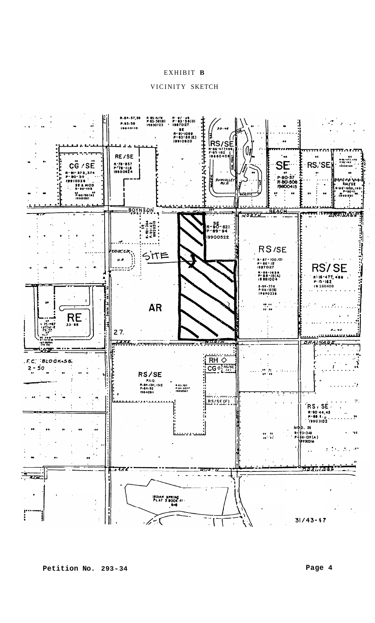# EXHIBIT B

# VICINITY SKETCH

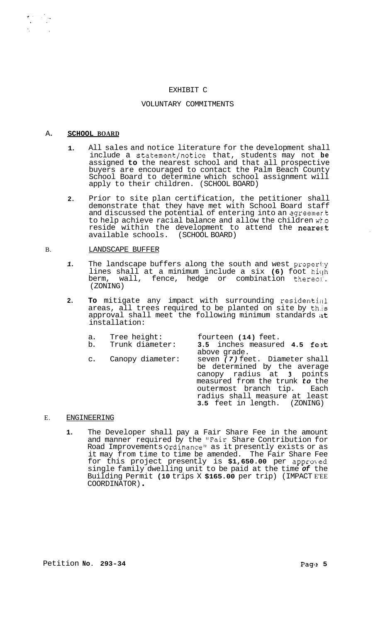# EXHIBIT C

### VOLUNTARY COMMITMENTS

#### A. **SCHOOL BOARD**

 $\begin{aligned} \nabla_{\mu} \mathcal{F}^{\mu\nu} & = \nabla_{\mu} \mathcal{F}^{\mu\nu}_{\mu\nu} \,, \end{aligned}$ 

- **1.**  All sales and notice literature for the development shall include a statement/notice that, students may not **be**  assigned **to** the nearest school and that all prospective buyers are encouraged to contact the Palm Beach County School Board to determine which school assignment will apply to their children. (SCHOOL BOARD)
- **2.**  Prior to site plan certification, the petitioner shall demonstrate that they have met with School Board staff and discussed the potential of entering into an agreemer.t to help achieve racial balance and allow the children wt.0 reside within the development to attend the nearest available schools. (SCHOOL BOARD)

#### B. LANDSCAPE BUFFER

- *1.*  The landscape buffers along the south and west property lines shall at a minimum include a six (6) foot high berm, wall, fence, hedge or combination thereol. (ZONING)
- **2.**  To mitigate any impact with surrounding residential areas, all trees required to be planted on site by this approval shall meet the following minimum standards at installation:

| a. | Tree height:<br>b. Trunk diameter: | fourteen (14) feet.<br>3.5 inches measured 4.5 feet<br>above grade.                                                                                                                                                          |
|----|------------------------------------|------------------------------------------------------------------------------------------------------------------------------------------------------------------------------------------------------------------------------|
|    | c. Canopy diameter:                | seven (7) feet. Diameter shall<br>be determined by the average<br>canopy radius at 3 points<br>measured from the trunk to the<br>outermost branch tip. Each<br>radius shall measure at least<br>3.5 feet in length. (ZONING) |

#### E. ENGINEERING

**1.** The Developer shall pay a Fair Share Fee in the amount and manner required by the "Fair Share Contribution for Road Improvements Ordinance" as it presently exists or as it may from time to time be amended. The Fair Share Fee for this project presently is \$1,650.00 per approved single family dwelling unit to be paid at the time *of* the Building Permit **(10** trips X **\$165.00** per trip) (IMPACT E'EE COORDINATOR) .